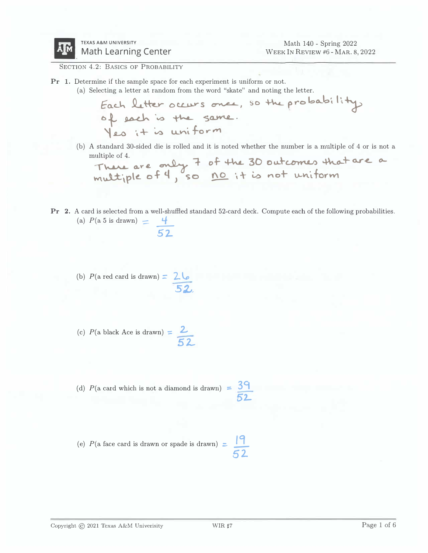

SECTION 4.2: BASICS OF PROBABILITY

- Pr 1. Determine if the sample space for each experiment is uniform or not.
	- (a) Selecting a letter at random from the word "skate" and noting the letter.

*Eo..c..'-'* **.Q..... ��** 0 **c.u.,..v- s �, so � p r-o bo...b ', I\�** *<sup>b</sup>� �* **·v0 � '5CUV\L.. '\ .LO ·,** + � **LLV\i. fo r f'Y1**

(b) A standard 30-sided die is rolled and it is noted whether the number is a multiple of 4 or is not a multiple of 4.  $\sim$  $\mathbf{A}$  $\sim$  $\lambda$  $\Delta$  and

**.,-\u.A.L.. 0,.1" .e. \* "'=1- W\ v.l±\ p\** *t..* **o.f '1, so !1Q\_ 't-\- LO r'\o+ v,...�·lforWl**

- Pr 2. A card is selected from a well-shuffled standard 52-card deck. Compute each of the following probabilities. (a)  $P(a \ 5 \text{ is drawn}) = \frac{4}{52}$ 
	- (b)  $P(\text{a red card is drawn}) = 26$ *52.,,*

(c) 
$$
P(\text{a black Ace is drawn}) = \frac{2}{52}
$$

(d)  $P(\text{a card which is not a diamond is drawn}) = \frac{39}{9}$ *52-*

(e) 
$$
P(\text{a face card is drawn or spade is drawn}) = \frac{19}{52}
$$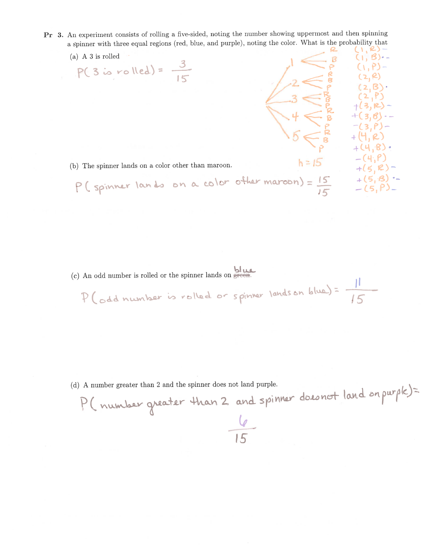- Pr 3. An experiment consists of rolling a five-sided, noting the number showing uppermost and then spinning a spinner with three equal regions (red, blue, and purple), noting the color. What is the probability that
	- $(i, 8)$ . (a)  $A$  3 is rolled  $\begin{array}{r} 1 & \searrow \\ 2 & \searrow \\ -3 & \searrow \\ 3 & \searrow \\ 4 & \searrow \\ 5 & \searrow \\ 6 & \nearrow \\ 6 & \nearrow \\ 7 & \nearrow \\ 8 & \nearrow \\ 9 & \nearrow \\ 14 & \nearrow \\ 16 & \nearrow \\ 17 & \nearrow \\ 18 & \nearrow \\ 19 & \nearrow \\ 19 & \nearrow \\ 10 & \nearrow \\ 19 & \nearrow \\ 19 & \nearrow \\ 10 & \nearrow \\ 10 & \nearrow \\ 14 & \nearrow \\ 19 & \nearrow \\ 10 & \nearrow \\ 14 & \nearrow \\ 19 & \nearrow \\ 14 & \nearrow \\$  $(Y, P)$ - $P(3 \text{ is rolled}) = \frac{3}{15}$ P(spinner lands on a color other maroon) =  $\frac{h=15}{15}$  +(5, R) -<br>P(spinner lands on a color other maroon) =  $\frac{15}{15}$  +(5, B) -<br>-(5, P) -(b) The spinner lands on a color other than maroon.
	- (c) An odd number is rolled or the spinner lands on  $\frac{\log n}{\log n}$ . P (odd number is rolled or spinner landson blue) = 15

(d) A number greater than 2 and the spinner does not land purple.

P (number greater than 2 and spinner doesnot land on purple)=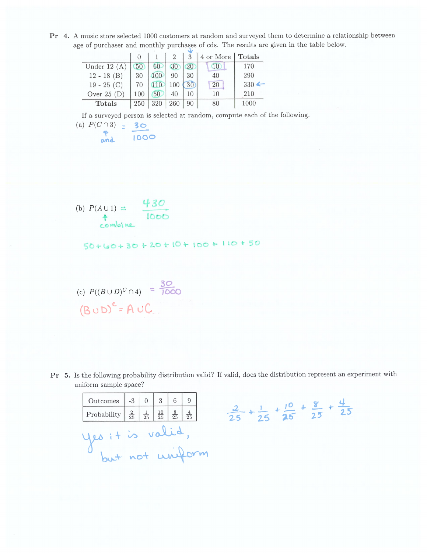Pr 4. A music store selected 1000 customers at random and surveyed them to determine a relationship between age of purchaser and monthly purchases of cds. The results are given in the table below.

|               |                 |     |     |    | 4 or More | <b>Totals</b>    |  |  |  |  |  |
|---------------|-----------------|-----|-----|----|-----------|------------------|--|--|--|--|--|
| Under $12(A)$ | 50 <sub>2</sub> | 60  | 30  | 20 | GO.       | 170              |  |  |  |  |  |
| $12 - 18$ (B) | 30              |     | 90  | 30 | 40        | 290              |  |  |  |  |  |
| $19 - 25$ (C) | 70              |     | 100 | 30 | 20        | $330 \leftarrow$ |  |  |  |  |  |
| Over $25(D)$  | 100             | 50  | 40  | 10 | 10        | 210              |  |  |  |  |  |
| <b>Totals</b> | 250             | 320 | 260 | 90 | 80        | 1000             |  |  |  |  |  |

If a surveyed person is selected at random, compute each of the following.

(a)  $P(C \cap 3) = 30$ A<br>and 1000

(b) 
$$
P(A \cup 1) = \begin{array}{c} 4.30 \\ \hline 1000 \\ \hline \end{array}
$$

 $50+60+30+20+10+100+110+50$ 

(c)  $P((B \cup D)^C \cap 4) = \frac{30}{1000}$  $(BUD)^c = AUC$ 

Pr 5. Is the following probability distribution valid? If valid, does the distribution represent an experiment with uniform sample space?

| Outcomes $\vert 3 \vert 0 \vert 3 \vert$                  |  |  |  | 6 <sup>1</sup>                         |                |  |  |  |  |
|-----------------------------------------------------------|--|--|--|----------------------------------------|----------------|--|--|--|--|
| Probability $\frac{2}{25}$ $\frac{1}{25}$ $\frac{10}{25}$ |  |  |  | $\begin{array}{c} 8 \\ 25 \end{array}$ | $\frac{4}{25}$ |  |  |  |  |
| es it is vali                                             |  |  |  |                                        |                |  |  |  |  |
| + not uniform                                             |  |  |  |                                        |                |  |  |  |  |

$$
\frac{2}{25} + \frac{1}{25} + \frac{10}{25} + \frac{8}{25} + \frac{4}{25}
$$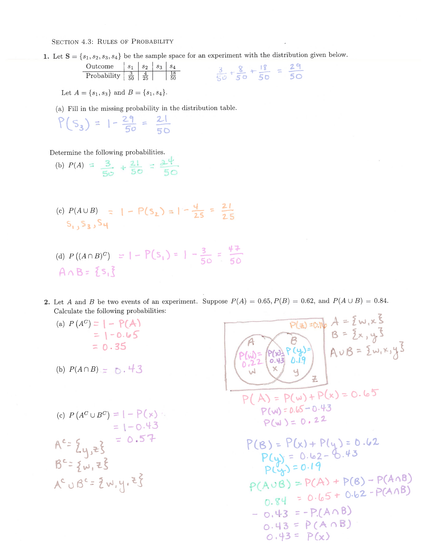SECTION 4.3: RULES OF PROBABILITY

1. Let  $S = \{s_1, s_2, s_3, s_4\}$  be the sample space for an experiment with the distribution given below.

| Outcome        | $s_1$          | $s_2$           | $s_3$           | $s_4$ |
|----------------|----------------|-----------------|-----------------|-------|
| Probability    | $\frac{3}{50}$ | $\frac{4}{25}$  | $\frac{18}{50}$ |       |
| $\frac{3}{50}$ | $\frac{4}{50}$ | $\frac{18}{50}$ |                 |       |

Let  $A = \{s_1, s_3\}$  and  $B = \{s_1, s_4\}.$ 

(a) Fill in the missing probability in the distribution table.

$$
P(S_3) = 1 - \frac{29}{50} = \frac{21}{50}
$$

Determine the following probabilities.

- (b)  $P(A) = \frac{3}{50} + \frac{21}{50} = \frac{24}{50}$
- (c)  $P(A \cup B) = |-P(S_2)| = |-\frac{4}{25}| = \frac{21}{25}$  $S_1, S_2, S_4$
- (d)  $P((A \cap B)^{C}) = |-P(S_1)| = |- \frac{3}{50} = \frac{44}{50}$  $A \wedge B = \{s, \}$
- 2. Let A and B be two events of an experiment. Suppose  $P(A) = 0.65, P(B) = 0.62$ , and  $P(A \cup B) = 0.84$ . Calculate the following probabilities:
	- (a)  $P(A^C) = |-P(A)|$  $= 1 - 0.65$  $= 0.35$
	- (b)  $P(A \cap B) = 0.43$

(c) 
$$
P(A^C \cup B^C) = 1 - P(x)
$$
  
\n
$$
= 1 - 0.43
$$
\n
$$
A^C = \{y, z\} = 0.57
$$
\n
$$
B^C = \{w, z\}
$$
\n
$$
A^C \cup B^C = \{w, y\} = \{z\}
$$

P(2)=0.16 A = {w, x }<br>B = {x, y }<br>P(x) P (y)=<br>A v B = {w, x, y }<br>A v B = {w, x, y }  $P(A) = P(w) + P(x) = 0.65$  $P(w) = 0.65 - 0.43$  $P(w) = 0.22$  $P(B) = P(x) + P(y) = 0.62$ <br> $P(y) = 0.62 - 0.43$ <br> $P(y) = 0.19$  $P(A \cup B) = P(A) + P(B) - P(A \cap B)$  $0.84 = 0.65 + 0.62 - P(A \cap B)$  $-0.43 = -P(A \cap B)$  $0.43 = P(A \cap B)$  $0.43 = P(x)$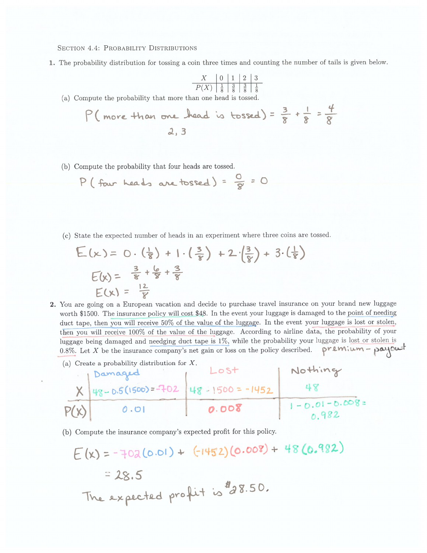**SECTION 4.4: PROBABILITY DISTRIBUTIONS** 

1. The probability distribution for tossing a coin three times and counting the number of tails is given below.

| X    | 0             | 1             | 2             | 3             |
|------|---------------|---------------|---------------|---------------|
| P(X) | $\frac{1}{8}$ | $\frac{3}{8}$ | $\frac{3}{8}$ | $\frac{1}{8}$ |

(a) Compute the probability that more than one head is tossed.

P(more than one head is tossed) = 
$$
\frac{3}{8} + \frac{1}{8} = \frac{4}{8}
$$
  
 $\frac{2}{3}$ 

(b) Compute the probability that four heads are tossed.

P (four heads are tossed) = 
$$
\frac{0}{8}
$$
 = 0

(c) State the expected number of heads in an experiment where three coins are tossed.

$$
E(x) = 0 \cdot \left(\frac{1}{8}\right) + 1 \cdot \left(\frac{3}{8}\right) + 2 \cdot \left(\frac{3}{8}\right) + 3 \cdot \left(\frac{1}{8}\right)
$$
  
\n
$$
E(x) = \frac{3}{8} + \frac{6}{8} + \frac{3}{8}
$$
  
\n
$$
E(x) = \frac{12}{8}
$$

- 2. You are going on a European vacation and decide to purchase travel insurance on your brand new luggage worth \$1500. The insurance policy will cost \$48. In the event your luggage is damaged to the point of needing duct tape, then you will receive 50% of the value of the luggage. In the event your luggage is lost or stolen, then you will receive 100% of the value of the luggage. According to airline data, the probability of your luggage being damaged and needging duct tape is 1%, while the probability your luggage is lost or stolen is 0.8%. Let X be the insurance company's net gain or loss on the policy described. premium - payout
	- (a) Create a probability distribution for X.<br>
	Lost<br>
	X 48-0.5(1500) = -702 48 1500 = -1452 48<br>
	0.01 0.008 1-0.01-0.008
	- (b) Compute the insurance company's expected profit for this policy.

$$
E(x) = -702(0.01) + (-1452)(0.008) + 48(0.982)
$$
  
= 28.5  
The expected profit is  $^{4}a8.50$ .